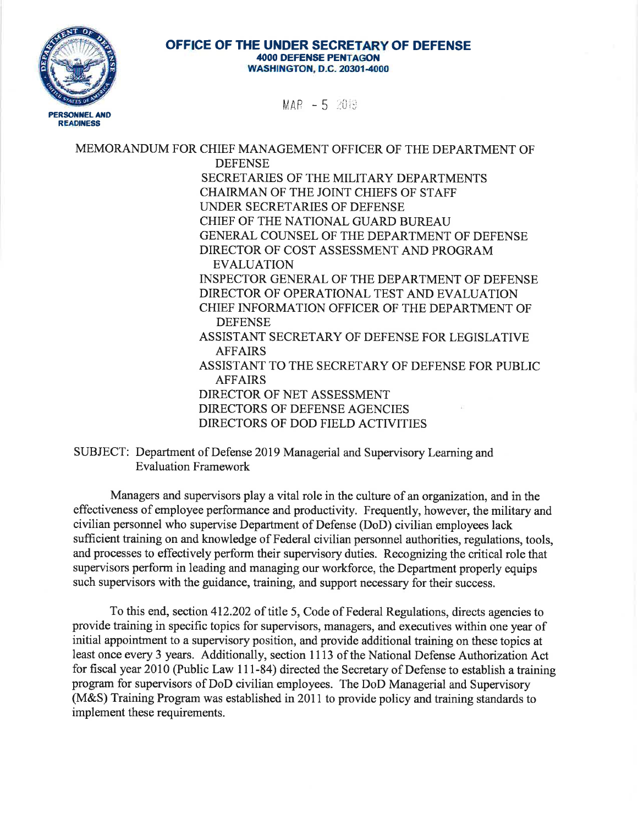

 $MAP = 5$  2019

MEMORANDUM FOR CHIEF MANAGEMENT OFFICER OF THE DEPARTMENT OF **DEFENSE** SECRETARIES OF THE MILITARY DEPARTMENTS **CHAIRMAN OF THE JOINT CHIEFS OF STAFF** UNDER SECRETARIES OF DEFENSE CHIEF OF THE NATIONAL GUARD BUREAU GENERAL COUNSEL OF THE DEPARTMENT OF DEFENSE DIRECTOR OF COST ASSESSMENT AND PROGRAM **EVALUATION INSPECTOR GENERAL OF THE DEPARTMENT OF DEFENSE** DIRECTOR OF OPERATIONAL TEST AND EVALUATION CHIEF INFORMATION OFFICER OF THE DEPARTMENT OF **DEFENSE** ASSISTANT SECRETARY OF DEFENSE FOR LEGISLATIVE **AFFAIRS** ASSISTANT TO THE SECRETARY OF DEFENSE FOR PUBLIC **AFFAIRS** DIRECTOR OF NET ASSESSMENT DIRECTORS OF DEFENSE AGENCIES DIRECTORS OF DOD FIELD ACTIVITIES

SUBJECT: Department of Defense 2019 Managerial and Supervisory Learning and **Evaluation Framework** 

Managers and supervisors play a vital role in the culture of an organization, and in the effectiveness of employee performance and productivity. Frequently, however, the military and civilian personnel who supervise Department of Defense (DoD) civilian employees lack sufficient training on and knowledge of Federal civilian personnel authorities, regulations, tools, and processes to effectively perform their supervisory duties. Recognizing the critical role that supervisors perform in leading and managing our workforce, the Department properly equips such supervisors with the guidance, training, and support necessary for their success.

To this end, section 412.202 of title 5, Code of Federal Regulations, directs agencies to provide training in specific topics for supervisors, managers, and executives within one year of initial appointment to a supervisory position, and provide additional training on these topics at least once every 3 years. Additionally, section 1113 of the National Defense Authorization Act for fiscal year 2010 (Public Law 111-84) directed the Secretary of Defense to establish a training program for supervisors of DoD civilian employees. The DoD Managerial and Supervisory (M&S) Training Program was established in 2011 to provide policy and training standards to implement these requirements.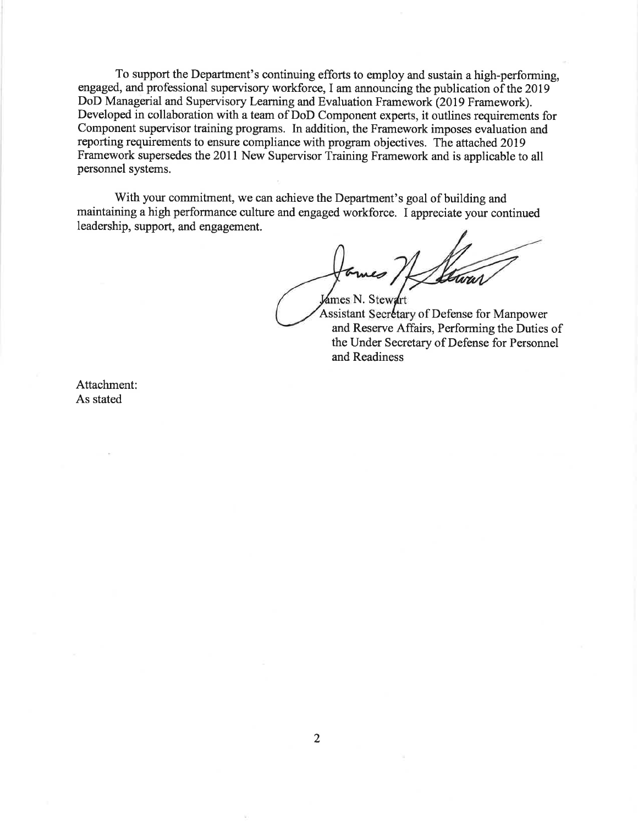To support the Department's continuing efforts to employ and sustain a high-performing, engaged, and professional supervisory workforce, I am announcing the publication of the 2019 DoD Managerial and Supervisory Learning and Evaluation Framework (2019 Framework). Developed in collaboration with a team of DoD Component experts, it outlines requirements for Component supervisor training programs. In addition, the Framework imposes evaluation and reporting requirements to ensure compliance with program objectives. The attached 2019 Framework supersedes the 2011 New Supervisor Training Framework and is applicable to all personnel systems.

With your commitment, we can achieve the Department's goal of building and maintaining a high performance culture and engaged workforce. I appreciate your continued leadership, support, and engagement.

James N. Stewart

Assistant Secretary of Defense for Manpower and Reserve Affairs, Performing the Duties of the Under Secretary of Defense for Personnel and Readiness

Attachment: As stated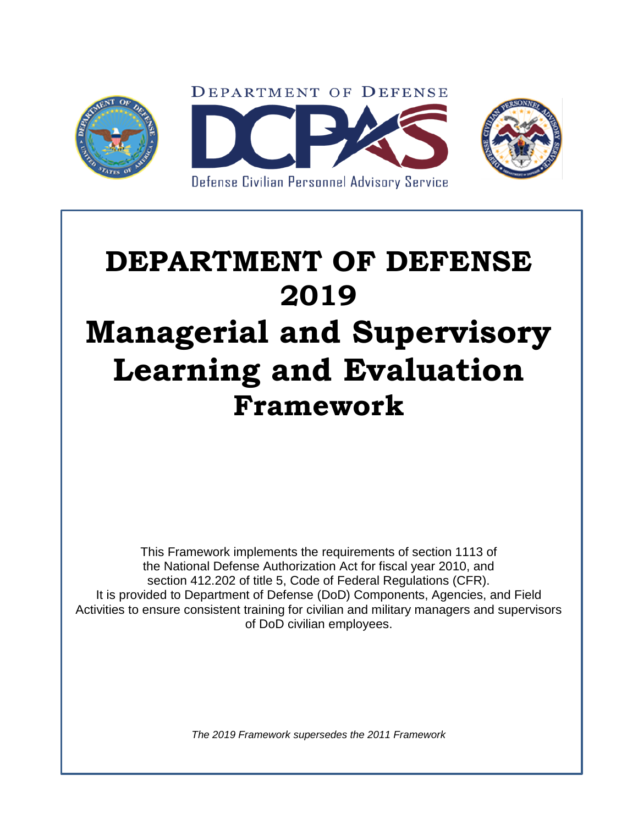

# **DEPARTMENT OF DEFENSE 2019 Managerial and Supervisory Learning and Evaluation Framework**

This Framework implements the requirements of section 1113 of the National Defense Authorization Act for fiscal year 2010, and section 412.202 of title 5, Code of Federal Regulations (CFR). It is provided to Department of Defense (DoD) Components, Agencies, and Field Activities to ensure consistent training for civilian and military managers and supervisors of DoD civilian employees.

*The 2019 Framework supersedes the 2011 Framework*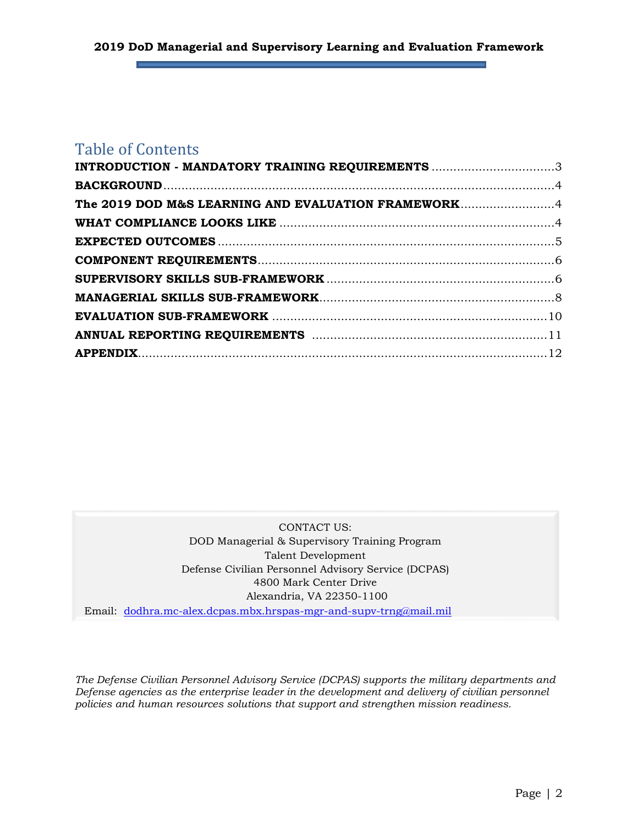# Table of Contents

| INTRODUCTION - MANDATORY TRAINING REQUIREMENTS 3    |  |
|-----------------------------------------------------|--|
|                                                     |  |
| The 2019 DOD M&S LEARNING AND EVALUATION FRAMEWORK4 |  |
|                                                     |  |
|                                                     |  |
|                                                     |  |
|                                                     |  |
|                                                     |  |
|                                                     |  |
|                                                     |  |
|                                                     |  |
|                                                     |  |

CONTACT US: DOD Managerial & Supervisory Training Program Talent Development Defense Civilian Personnel Advisory Service (DCPAS) 4800 Mark Center Drive Alexandria, VA 22350-1100

Email: [dodhra.mc-alex.dcpas.mbx.hrspas-mgr-and-supv-trng@mail.mil](mailto:dodhra.mc-alex.dcpas.mbx.hrspas-mgr-and-supv-trng@mail.mil?subject=DoDMSTPContact)

*The Defense Civilian Personnel Advisory Service (DCPAS) supports the military departments and Defense agencies as the enterprise leader in the development and delivery of civilian personnel policies and human resources solutions that support and strengthen mission readiness.*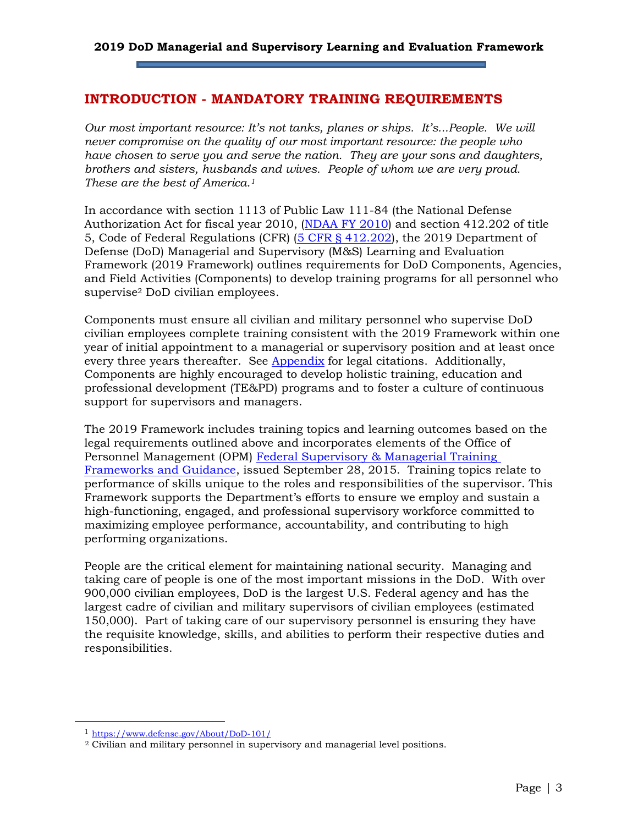#### <span id="page-4-0"></span>**INTRODUCTION - MANDATORY TRAINING REQUIREMENTS**

*Our most important resource: It's not tanks, planes or ships. It's...People. We will never compromise on the quality of our most important resource: the people who have chosen to serve you and serve the nation. They are your sons and daughters, brothers and sisters, husbands and wives. People of whom we are very proud. These are the best of America. 1*

In accordance with section 1113 of Public Law 111-84 (the National Defense Authorization Act for fiscal year 2010, [\(NDAA FY 2010\)](https://www.gpo.gov/fdsys/pkg/PLAW-111publ84/html/PLAW-111publ84.htm) and section 412.202 of title 5, Code of Federal Regulations (CFR) [\(5 CFR § 412.202\)](https://www.gpo.gov/fdsys/granule/CFR-2012-title5-vol1/CFR-2012-title5-vol1-sec412-202), the 2019 Department of Defense (DoD) Managerial and Supervisory (M&S) Learning and Evaluation Framework (2019 Framework) outlines requirements for DoD Components, Agencies, and Field Activities (Components) to develop training programs for all personnel who supervise<sup>2</sup> DoD civilian employees.

Components must ensure all civilian and military personnel who supervise DoD civilian employees complete training consistent with the 2019 Framework within one year of initial appointment to a managerial or supervisory position and at least once every three years thereafter. See [Appendix](#page-13-0) for legal citations. Additionally, Components are highly encouraged to develop holistic training, education and professional development (TE&PD) programs and to foster a culture of continuous support for supervisors and managers.

The 2019 Framework includes training topics and learning outcomes based on the legal requirements outlined above and incorporates elements of the Office of Personnel Management (OPM) [Federal Supervisory & Managerial Training](https://www.opm.gov/wiki/uploads/docs/Wiki/OPM/training/Complete%20508-%20Frameworks%2C%20Fact%20Sheet%2C%20learning%20objectives%2C%20and%20additional%20resources.pdf)  [Frameworks and Guidance,](https://www.opm.gov/wiki/uploads/docs/Wiki/OPM/training/Complete%20508-%20Frameworks%2C%20Fact%20Sheet%2C%20learning%20objectives%2C%20and%20additional%20resources.pdf) issued September 28, 2015. Training topics relate to performance of skills unique to the roles and responsibilities of the supervisor. This Framework supports the Department's efforts to ensure we employ and sustain a high-functioning, engaged, and professional supervisory workforce committed to maximizing employee performance, accountability, and contributing to high performing organizations.

People are the critical element for maintaining national security. Managing and taking care of people is one of the most important missions in the DoD. With over 900,000 civilian employees, DoD is the largest U.S. Federal agency and has the largest cadre of civilian and military supervisors of civilian employees (estimated 150,000). Part of taking care of our supervisory personnel is ensuring they have the requisite knowledge, skills, and abilities to perform their respective duties and responsibilities.

<sup>1</sup> <https://www.defense.gov/About/DoD-101/>

<sup>2</sup> Civilian and military personnel in supervisory and managerial level positions.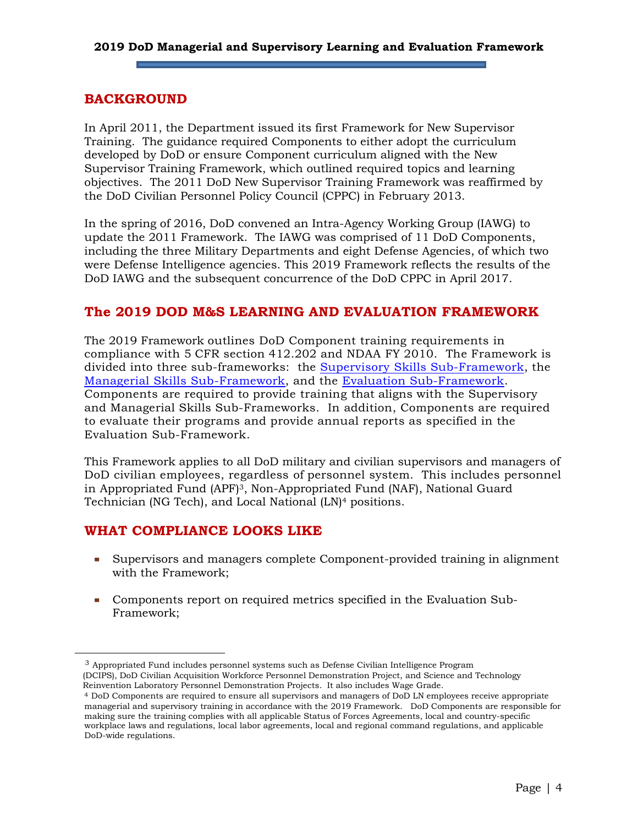#### **2019 DoD Managerial and Supervisory Learning and Evaluation Framework**

#### <span id="page-5-0"></span>**BACKGROUND**

In April 2011, the Department issued its first Framework for New Supervisor Training. The guidance required Components to either adopt the curriculum developed by DoD or ensure Component curriculum aligned with the New Supervisor Training Framework, which outlined required topics and learning objectives. The 2011 DoD New Supervisor Training Framework was reaffirmed by the DoD Civilian Personnel Policy Council (CPPC) in February 2013.

In the spring of 2016, DoD convened an Intra-Agency Working Group (IAWG) to update the 2011 Framework. The IAWG was comprised of 11 DoD Components, including the three Military Departments and eight Defense Agencies, of which two were Defense Intelligence agencies. This 2019 Framework reflects the results of the DoD IAWG and the subsequent concurrence of the DoD CPPC in April 2017.

#### <span id="page-5-1"></span>**The 2019 DOD M&S LEARNING AND EVALUATION FRAMEWORK**

The 2019 Framework outlines DoD Component training requirements in compliance with 5 CFR section 412.202 and NDAA FY 2010. The Framework is divided into three sub-frameworks: the [Supervisory Skills Sub-Framework,](#page-7-1) the [Managerial Skills Sub-Framework,](#page-9-0) and the Evaluation [Sub-Framework.](#page-11-0) Components are required to provide training that aligns with the Supervisory and Managerial Skills Sub-Frameworks. In addition, Components are required to evaluate their programs and provide annual reports as specified in the Evaluation Sub-Framework.

This Framework applies to all DoD military and civilian supervisors and managers of DoD civilian employees, regardless of personnel system. This includes personnel in Appropriated Fund (APF)3, Non-Appropriated Fund (NAF), National Guard Technician (NG Tech), and Local National (LN)<sup>4</sup> positions.

### <span id="page-5-2"></span>**WHAT COMPLIANCE LOOKS LIKE**

 $\overline{a}$ 

- Supervisors and managers complete Component-provided training in alignment with the Framework;
- Components report on required metrics specified in the Evaluation Sub-Framework;

<sup>3</sup> Appropriated Fund includes personnel systems such as Defense Civilian Intelligence Program (DCIPS), DoD Civilian Acquisition Workforce Personnel Demonstration Project, and Science and Technology Reinvention Laboratory Personnel Demonstration Projects. It also includes Wage Grade.

<sup>4</sup> DoD Components are required to ensure all supervisors and managers of DoD LN employees receive appropriate managerial and supervisory training in accordance with the 2019 Framework. DoD Components are responsible for making sure the training complies with all applicable Status of Forces Agreements, local and country-specific workplace laws and regulations, local labor agreements, local and regional command regulations, and applicable DoD-wide regulations.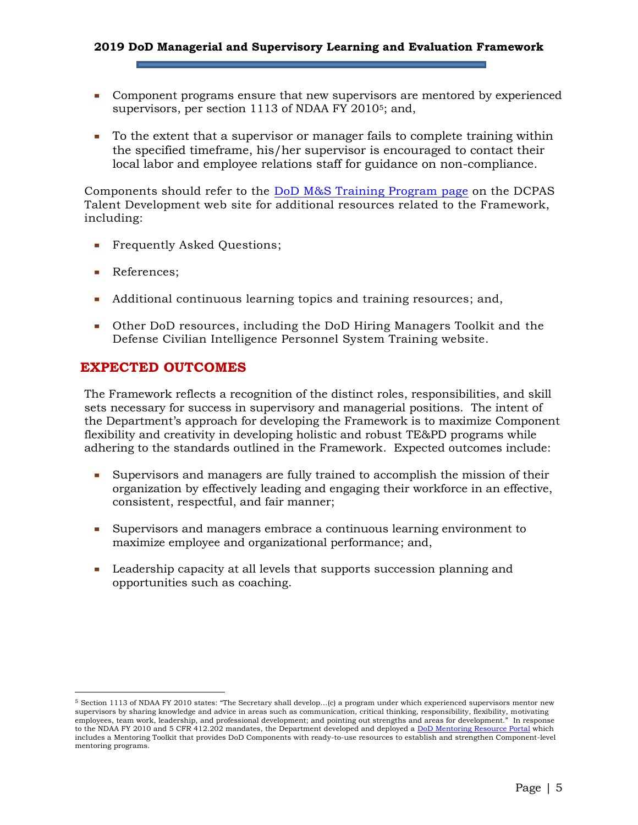#### **2019 DoD Managerial and Supervisory Learning and Evaluation Framework**

- Component programs ensure that new supervisors are mentored by experienced supervisors, per section 1113 of NDAA FY 20105; and,
- To the extent that a supervisor or manager fails to complete training within the specified timeframe, his/her supervisor is encouraged to contact their local labor and employee relations staff for guidance on non-compliance.

Components should refer to the [DoD M&S Training Program page](https://www.dcpas.osd.mil/CTD/Managerial) on the DCPAS Talent Development web site for additional resources related to the Framework, including:

- Frequently Asked Questions;
- References:

- Additional continuous learning topics and training resources; and,
- Other DoD resources, including the DoD Hiring Managers Toolkit and the Defense Civilian Intelligence Personnel System Training website.

### <span id="page-6-0"></span>**EXPECTED OUTCOMES**

The Framework reflects a recognition of the distinct roles, responsibilities, and skill sets necessary for success in supervisory and managerial positions. The intent of the Department's approach for developing the Framework is to maximize Component flexibility and creativity in developing holistic and robust TE&PD programs while adhering to the standards outlined in the Framework. Expected outcomes include:

- Supervisors and managers are fully trained to accomplish the mission of their organization by effectively leading and engaging their workforce in an effective, consistent, respectful, and fair manner;
- Supervisors and managers embrace a continuous learning environment to maximize employee and organizational performance; and,
- Leadership capacity at all levels that supports succession planning and opportunities such as coaching.

<sup>5</sup> Section 1113 of NDAA FY 2010 states: "The Secretary shall develop…(c) a program under which experienced supervisors mentor new supervisors by sharing knowledge and advice in areas such as communication, critical thinking, responsibility, flexibility, motivating<br>employees, team work, leadership, and professional development; and pointing out streng employees, team work, leadership, and professional development; and pointing out strengths and areas for development.' to the NDAA FY 2010 and 5 CFR 412.202 mandates, the Department developed and deployed [a DoD Mentoring Resource Portal](https://www.dcpas.osd.mil/CTD/Index) which includes a Mentoring Toolkit that provides DoD Components with ready-to-use resources to establish and strengthen Component-level mentoring programs.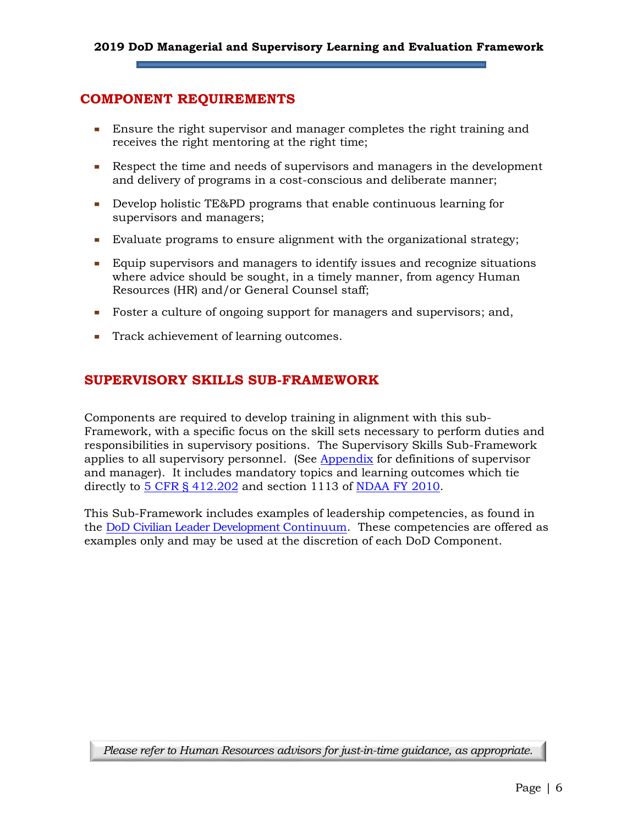### <span id="page-7-0"></span>**COMPONENT REQUIREMENTS**

- Ensure the right supervisor and manager completes the right training and receives the right mentoring at the right time;
- Respect the time and needs of supervisors and managers in the development and delivery of programs in a cost-conscious and deliberate manner;
- Develop holistic TE&PD programs that enable continuous learning for supervisors and managers;
- Evaluate programs to ensure alignment with the organizational strategy;
- Equip supervisors and managers to identify issues and recognize situations where advice should be sought, in a timely manner, from agency Human Resources (HR) and/or General Counsel staff;
- Foster a culture of ongoing support for managers and supervisors; and,
- Track achievement of learning outcomes.

## <span id="page-7-1"></span>**SUPERVISORY SKILLS SUB-FRAMEWORK**

Components are required to develop training in alignment with this sub-Framework, with a specific focus on the skill sets necessary to perform duties and responsibilities in supervisory positions. The Supervisory Skills Sub-Framework applies to all supervisory personnel. (See [Appendix](#page-13-0) for definitions of supervisor and manager). It includes mandatory topics and learning outcomes which tie directly to [5 CFR § 412.202](https://www.gpo.gov/fdsys/granule/CFR-2012-title5-vol1/CFR-2012-title5-vol1-sec412-202) and section 1113 of [NDAA FY 2010.](https://www.gpo.gov/fdsys/pkg/PLAW-111publ84/html/PLAW-111publ84.htm)

This Sub-Framework includes examples of leadership competencies, as found in the [DoD Civilian Leader Development Continuum.](https://www.dcpas.osd.mil/Content/documents/CTD/ContinuumAndFramework.pdf) These competencies are offered as examples only and may be used at the discretion of each DoD Component.

*Please refer to Human Resources advisors for just-in-time guidance, as appropriate.*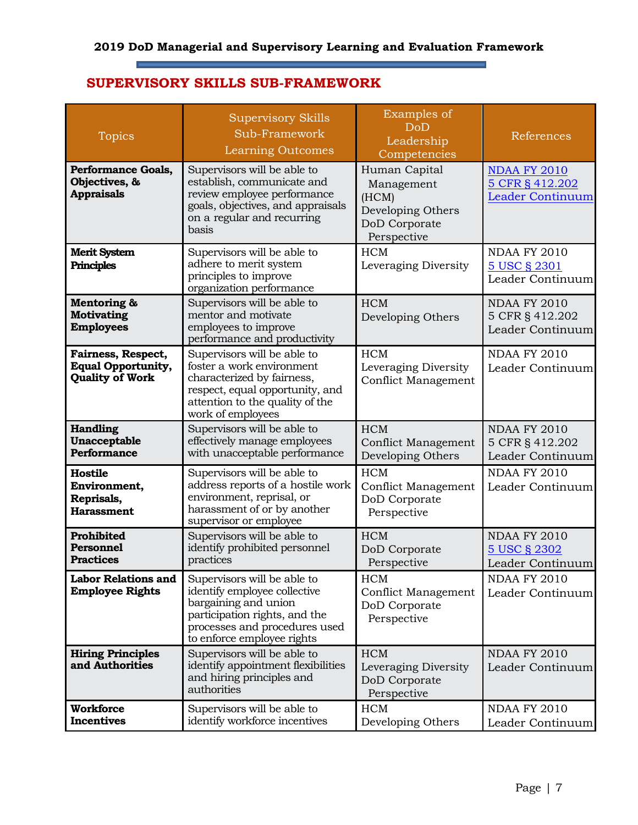a)

## **SUPERVISORY SKILLS SUB-FRAMEWORK**

E

| <b>Topics</b>                                                             | <b>Supervisory Skills</b><br>Sub-Framework<br>Learning Outcomes                                                                                                                     | Examples of<br>DoD<br>Leadership<br>Competencies                                          | References                                                 |
|---------------------------------------------------------------------------|-------------------------------------------------------------------------------------------------------------------------------------------------------------------------------------|-------------------------------------------------------------------------------------------|------------------------------------------------------------|
| <b>Performance Goals,</b><br>Objectives, &<br><b>Appraisals</b>           | Supervisors will be able to<br>establish, communicate and<br>review employee performance<br>goals, objectives, and appraisals<br>on a regular and recurring<br>basis                | Human Capital<br>Management<br>(HCM)<br>Developing Others<br>DoD Corporate<br>Perspective | <b>NDAA FY 2010</b><br>5 CFR § 412.202<br>Leader Continuum |
| <b>Merit System</b><br><b>Principles</b>                                  | Supervisors will be able to<br>adhere to merit system<br>principles to improve<br>organization performance                                                                          | <b>HCM</b><br>Leveraging Diversity                                                        | <b>NDAA FY 2010</b><br>5 USC § 2301<br>Leader Continuum    |
| Mentoring &<br><b>Motivating</b><br><b>Employees</b>                      | Supervisors will be able to<br>mentor and motivate<br>employees to improve<br>performance and productivity                                                                          | <b>HCM</b><br>Developing Others                                                           | <b>NDAA FY 2010</b><br>5 CFR § 412.202<br>Leader Continuum |
| Fairness, Respect,<br><b>Equal Opportunity,</b><br><b>Quality of Work</b> | Supervisors will be able to<br>foster a work environment<br>characterized by fairness,<br>respect, equal opportunity, and<br>attention to the quality of the<br>work of employees   | <b>HCM</b><br>Leveraging Diversity<br><b>Conflict Management</b>                          | <b>NDAA FY 2010</b><br>Leader Continuum                    |
| <b>Handling</b><br>Unacceptable<br><b>Performance</b>                     | Supervisors will be able to<br>effectively manage employees<br>with unacceptable performance                                                                                        | <b>HCM</b><br><b>Conflict Management</b><br>Developing Others                             | <b>NDAA FY 2010</b><br>5 CFR § 412.202<br>Leader Continuum |
| Hostile<br>Environment,<br>Reprisals,<br><b>Harassment</b>                | Supervisors will be able to<br>address reports of a hostile work<br>environment, reprisal, or<br>harassment of or by another<br>supervisor or employee                              | <b>HCM</b><br><b>Conflict Management</b><br>DoD Corporate<br>Perspective                  | <b>NDAA FY 2010</b><br>Leader Continuum                    |
| Prohibited<br><b>Personnel</b><br><b>Practices</b>                        | Supervisors will be able to<br>identify prohibited personnel<br>practices                                                                                                           | <b>HCM</b><br>DoD Corporate<br>Perspective                                                | <b>NDAA FY 2010</b><br>5 USC § 2302<br>Leader Continuum    |
| <b>Labor Relations and</b><br><b>Employee Rights</b>                      | Supervisors will be able to<br>identify employee collective<br>bargaining and union<br>participation rights, and the<br>processes and procedures used<br>to enforce employee rights | <b>HCM</b><br><b>Conflict Management</b><br>DoD Corporate<br>Perspective                  | <b>NDAA FY 2010</b><br>Leader Continuum                    |
| <b>Hiring Principles</b><br>and Authorities                               | Supervisors will be able to<br>identify appointment flexibilities<br>and hiring principles and<br>authorities                                                                       | <b>HCM</b><br>Leveraging Diversity<br>DoD Corporate<br>Perspective                        | <b>NDAA FY 2010</b><br>Leader Continuum                    |
| <b>Workforce</b><br><b>Incentives</b>                                     | Supervisors will be able to<br>identify workforce incentives                                                                                                                        | <b>HCM</b><br>Developing Others                                                           | <b>NDAA FY 2010</b><br>Leader Continuum                    |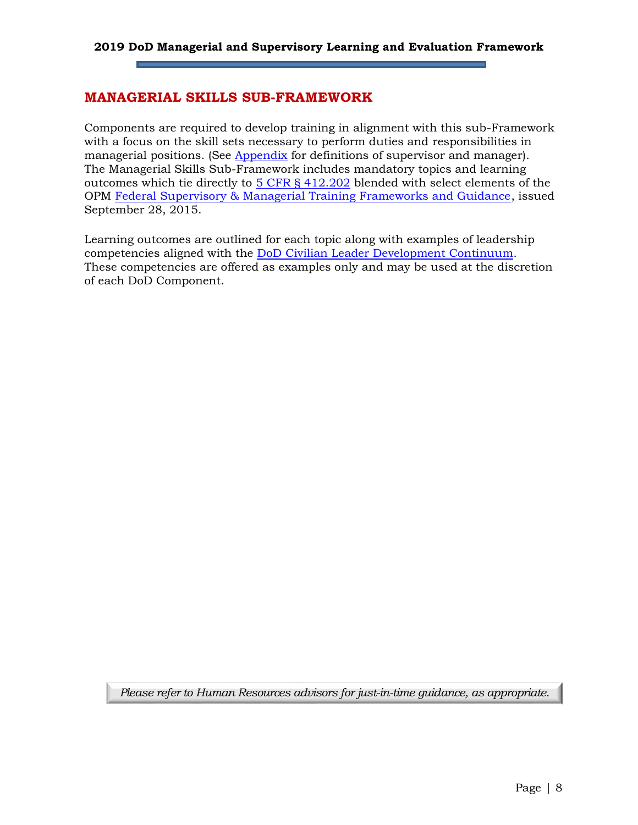#### <span id="page-9-0"></span>**MANAGERIAL SKILLS SUB-FRAMEWORK**

Components are required to develop training in alignment with this sub-Framework with a focus on the skill sets necessary to perform duties and responsibilities in managerial positions. (See [Appendix](#page-13-0) for definitions of supervisor and manager). The Managerial Skills Sub-Framework includes mandatory topics and learning outcomes which tie directly to [5 CFR § 412.202](https://www.gpo.gov/fdsys/granule/CFR-2012-title5-vol1/CFR-2012-title5-vol1-sec412-202) blended with select elements of the OPM [Federal Supervisory & Managerial Training Frameworks and Guidance,](https://www.opm.gov/wiki/uploads/docs/Wiki/OPM/training/Complete%20508-%20Frameworks%2C%20Fact%20Sheet%2C%20learning%20objectives%2C%20and%20additional%20resources.pdf) issued September 28, 2015.

Learning outcomes are outlined for each topic along with examples of leadership competencies aligned with the [DoD Civilian Leader Development Continuum.](https://www.dcpas.osd.mil/Content/documents/CTD/ContinuumAndFramework.pdf) These competencies are offered as examples only and may be used at the discretion of each DoD Component.

*Please refer to Human Resources advisors for just-in-time guidance, as appropriate.*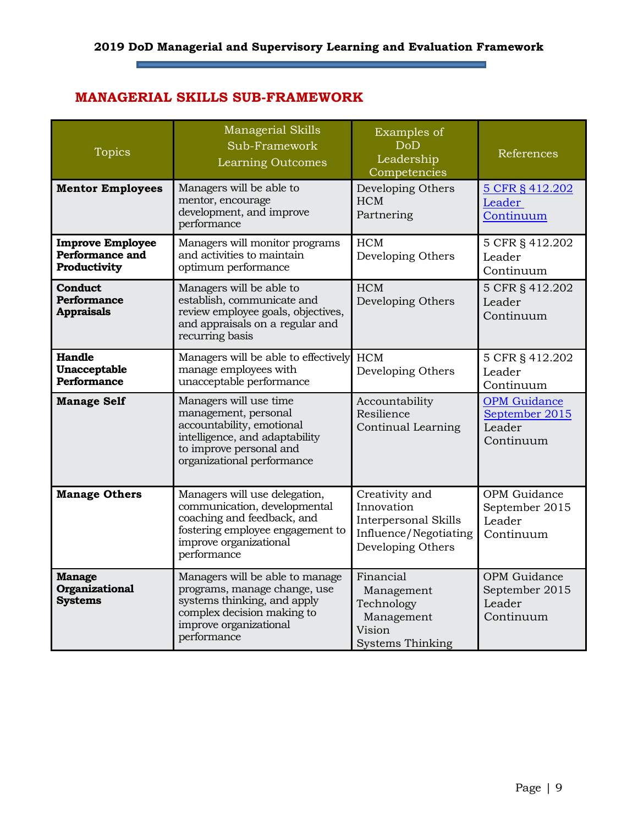۰

## **MANAGERIAL SKILLS SUB-FRAMEWORK**

 $\overline{\phantom{a}}$ 

| <b>Topics</b>                                              | Managerial Skills<br>Sub-Framework<br>Learning Outcomes                                                                                                                  | Examples of<br><b>DoD</b><br>Leadership<br>Competencies                                                   | References                                                   |
|------------------------------------------------------------|--------------------------------------------------------------------------------------------------------------------------------------------------------------------------|-----------------------------------------------------------------------------------------------------------|--------------------------------------------------------------|
| <b>Mentor Employees</b>                                    | Managers will be able to<br>mentor, encourage<br>development, and improve<br>performance                                                                                 | Developing Others<br><b>HCM</b><br>Partnering                                                             | 5 CFR § 412.202<br>Leader<br>Continuum                       |
| <b>Improve Employee</b><br>Performance and<br>Productivity | Managers will monitor programs<br>and activities to maintain<br>optimum performance                                                                                      | <b>HCM</b><br>Developing Others                                                                           | 5 CFR § 412.202<br>Leader<br>Continuum                       |
| Conduct<br><b>Performance</b><br><b>Appraisals</b>         | Managers will be able to<br>establish, communicate and<br>review employee goals, objectives,<br>and appraisals on a regular and<br>recurring basis                       | <b>HCM</b><br>Developing Others                                                                           | 5 CFR § 412.202<br>Leader<br>Continuum                       |
| Handle<br><b>Unacceptable</b><br>Performance               | Managers will be able to effectively<br>manage employees with<br>unacceptable performance                                                                                | <b>HCM</b><br>Developing Others                                                                           | 5 CFR § 412.202<br>Leader<br>Continuum                       |
| <b>Manage Self</b>                                         | Managers will use time<br>management, personal<br>accountability, emotional<br>intelligence, and adaptability<br>to improve personal and<br>organizational performance   | Accountability<br>Resilience<br>Continual Learning                                                        | <b>OPM</b> Guidance<br>September 2015<br>Leader<br>Continuum |
| <b>Manage Others</b>                                       | Managers will use delegation,<br>communication, developmental<br>coaching and feedback, and<br>fostering employee engagement to<br>improve organizational<br>performance | Creativity and<br>Innovation<br><b>Interpersonal Skills</b><br>Influence/Negotiating<br>Developing Others | OPM Guidance<br>September 2015<br>Leader<br>Continuum        |
| <b>Manage</b><br>Organizational<br><b>Systems</b>          | Managers will be able to manage<br>programs, manage change, use<br>systems thinking, and apply<br>complex decision making to<br>improve organizational<br>performance    | Financial<br>Management<br>Technology<br>Management<br>Vision<br><b>Systems Thinking</b>                  | OPM Guidance<br>September 2015<br>Leader<br>Continuum        |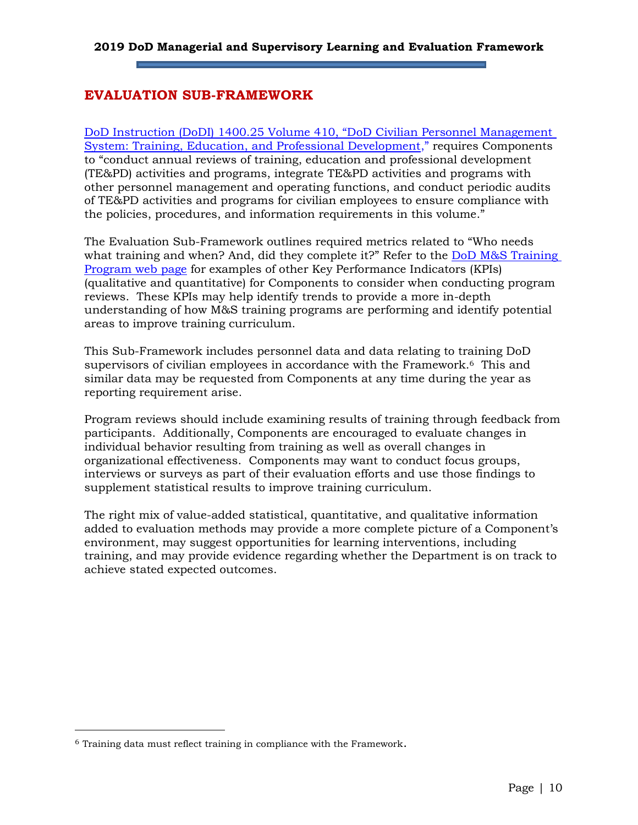## <span id="page-11-0"></span>**EVALUATION SUB-FRAMEWORK**

[DoD Instruction \(DoDI\) 1400.25 Volume 410, "DoD Civilian Personnel Management](http://www.esd.whs.mil/Portals/54/Documents/DD/issuances/140025/140025v410.pdf)  [System: Training, Education, and Professional Development](http://www.esd.whs.mil/Portals/54/Documents/DD/issuances/140025/140025v410.pdf)," requires Components to "conduct annual reviews of training, education and professional development (TE&PD) activities and programs, integrate TE&PD activities and programs with other personnel management and operating functions, and conduct periodic audits of TE&PD activities and programs for civilian employees to ensure compliance with the policies, procedures, and information requirements in this volume."

The Evaluation Sub-Framework outlines required metrics related to "Who needs what training and when? And, did they complete it?" Refer to the DoD M&S Training [Program web](https://www.dcpas.osd.mil/CTD/Managerial) page for examples of other Key Performance Indicators (KPIs) (qualitative and quantitative) for Components to consider when conducting program reviews. These KPIs may help identify trends to provide a more in-depth understanding of how M&S training programs are performing and identify potential areas to improve training curriculum.

This Sub-Framework includes personnel data and data relating to training DoD supervisors of civilian employees in accordance with the Framework.<sup>6</sup> This and similar data may be requested from Components at any time during the year as reporting requirement arise.

Program reviews should include examining results of training through feedback from participants. Additionally, Components are encouraged to evaluate changes in individual behavior resulting from training as well as overall changes in organizational effectiveness. Components may want to conduct focus groups, interviews or surveys as part of their evaluation efforts and use those findings to supplement statistical results to improve training curriculum.

The right mix of value-added statistical, quantitative, and qualitative information added to evaluation methods may provide a more complete picture of a Component's environment, may suggest opportunities for learning interventions, including training, and may provide evidence regarding whether the Department is on track to achieve stated expected outcomes.

<sup>6</sup> Training data must reflect training in compliance with the Framework.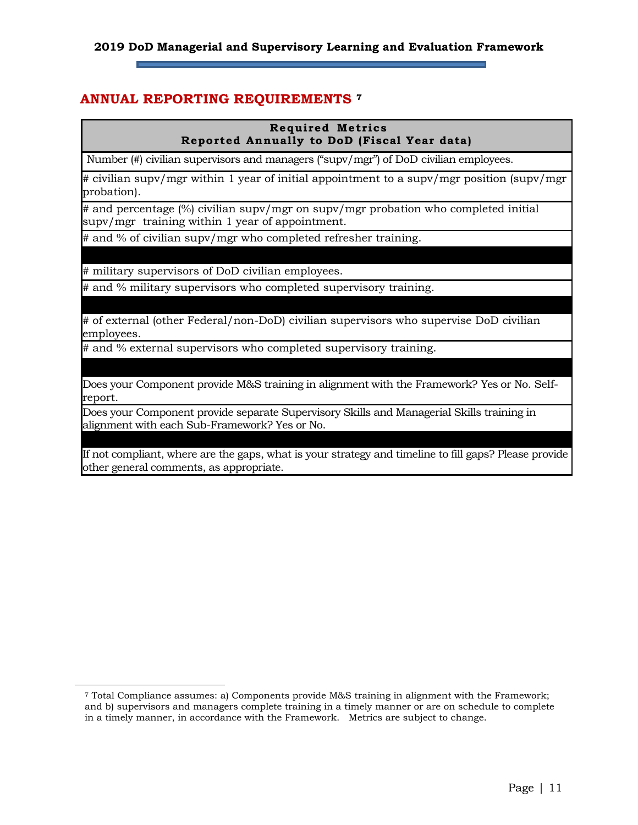#### **2019 DoD Managerial and Supervisory Learning and Evaluation Framework**

#### <span id="page-12-0"></span>**ANNUAL REPORTING REQUIREMENTS <sup>7</sup>**

#### **Required Metrics Reported Annually to DoD (Fiscal Year data)**

Number (#) civilian supervisors and managers ("supv/mgr") of DoD civilian employees.

# civilian supv/mgr within 1 year of initial appointment to a supv/mgr position (supv/mgr probation).

# and percentage (%) civilian supv/mgr on supv/mgr probation who completed initial supv/mgr training within 1 year of appointment.

# and % of civilian supv/mgr who completed refresher training.

# military supervisors of DoD civilian employees.

# and % military supervisors who completed supervisory training.

# of external (other Federal/non-DoD) civilian supervisors who supervise DoD civilian employees.

# and % external supervisors who completed supervisory training.

Does your Component provide M&S training in alignment with the Framework? Yes or No. Selfreport.

Does your Component provide separate Supervisory Skills and Managerial Skills training in alignment with each Sub-Framework? Yes or No.

If not compliant, where are the gaps, what is your strategy and timeline to fill gaps? Please provide other general comments, as appropriate.

<sup>7</sup> Total Compliance assumes: a) Components provide M&S training in alignment with the Framework; and b) supervisors and managers complete training in a timely manner or are on schedule to complete in a timely manner, in accordance with the Framework. Metrics are subject to change.